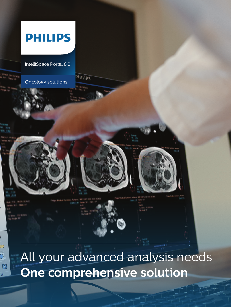

**One comprehensive solution**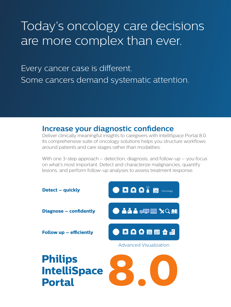# Today's oncology care decisions are more complex than ever.

Every cancer case is different. Some cancers demand systematic attention.

## **Increase your diagnostic confidence**

Deliver clinically meaningful insights to caregivers with IntelliSpace Portal 8.0. Its comprehensive suite of oncology solutions helps you structure workflows around patients and care stages rather than modalities.

With one 3-step approach – detection, diagnosis, and follow-up – you focus on what's most important. Detect and characterize malignancies, quantify lesions, and perform follow-up analyses to assess treatment response.

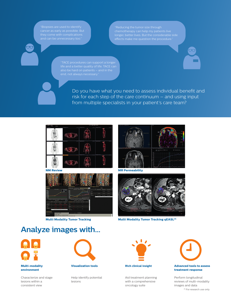cancer as early as possible. But

"TACE procedures can support a longer

Do you have what you need to assess individual benefit and risk for each step of the care continuum – and using input from multiple specialists in your patient's care team?



**NM Review**



**Multi Modality Tumor Tracking**



**MR Permeability**



**Multi Modality Tumor Tracking qEASL(1)**

## **Analyze images with...**



#### **Multi-modality environment**

Characterize and stage lesions within a consistent view



**Visualization tools**

Help identify potential lesions



**Rich clinical insight**

Aid treatment planning with a comprehensive oncology suite



### **treatment response**

(1) For research use only Perform longitudinal reviews of multi-modality images and data